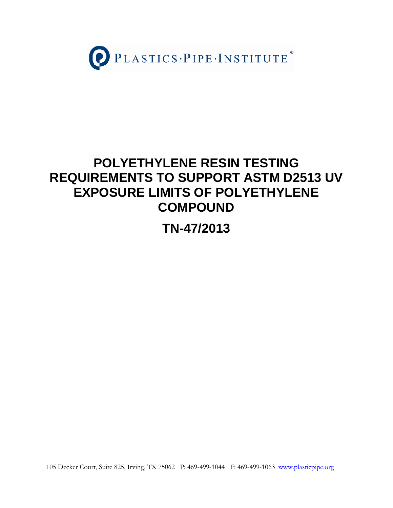

# **POLYETHYLENE RESIN TESTING REQUIREMENTS TO SUPPORT ASTM D2513 UV EXPOSURE LIMITS OF POLYETHYLENE COMPOUND**

**TN-47/2013**

105 Decker Court, Suite 825, Irving, TX 75062 P: 469-499-1044 F: 469-499-1063 www.plasticpipe.org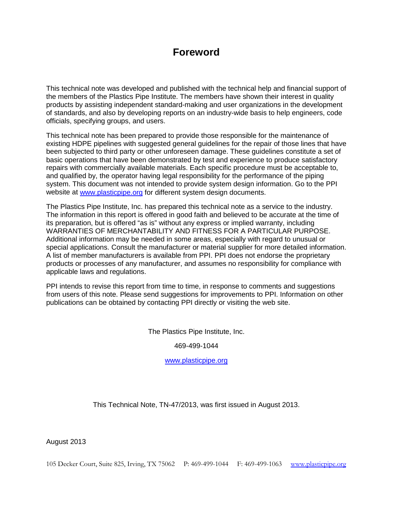# **Foreword**

This technical note was developed and published with the technical help and financial support of the members of the Plastics Pipe Institute. The members have shown their interest in quality products by assisting independent standard-making and user organizations in the development of standards, and also by developing reports on an industry-wide basis to help engineers, code officials, specifying groups, and users.

This technical note has been prepared to provide those responsible for the maintenance of existing HDPE pipelines with suggested general guidelines for the repair of those lines that have been subjected to third party or other unforeseen damage. These guidelines constitute a set of basic operations that have been demonstrated by test and experience to produce satisfactory repairs with commercially available materials. Each specific procedure must be acceptable to, and qualified by, the operator having legal responsibility for the performance of the piping system. This document was not intended to provide system design information. Go to the PPI website at [www.plasticpipe.org](http://www.plasticpipe.org/) for different system design documents.

The Plastics Pipe Institute, Inc. has prepared this technical note as a service to the industry. The information in this report is offered in good faith and believed to be accurate at the time of its preparation, but is offered "as is" without any express or implied warranty, including WARRANTIES OF MERCHANTABILITY AND FITNESS FOR A PARTICULAR PURPOSE. Additional information may be needed in some areas, especially with regard to unusual or special applications. Consult the manufacturer or material supplier for more detailed information. A list of member manufacturers is available from PPI. PPI does not endorse the proprietary products or processes of any manufacturer, and assumes no responsibility for compliance with applicable laws and regulations.

PPI intends to revise this report from time to time, in response to comments and suggestions from users of this note. Please send suggestions for improvements to PPI. Information on other publications can be obtained by contacting PPI directly or visiting the web site.

The Plastics Pipe Institute, Inc.

469-499-1044

[www.plasticpipe.org](http://www.plasticpipe.org/)

This Technical Note, TN-47/2013, was first issued in August 2013.

August 2013

105 Decker Court, Suite 825, Irving, TX 75062 P: 469-499-1044 F: 469-499-1063 [www.plasticpipe.org](http://www.plasticpipe.org/)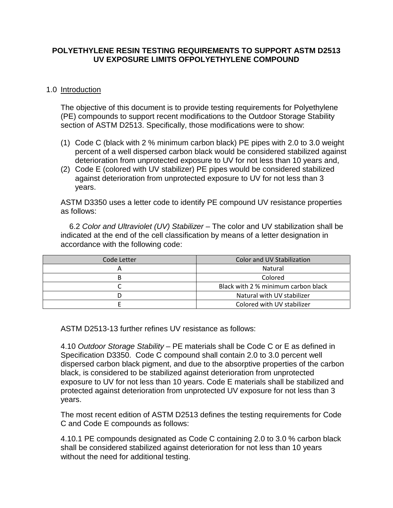#### **POLYETHYLENE RESIN TESTING REQUIREMENTS TO SUPPORT ASTM D2513 UV EXPOSURE LIMITS OFPOLYETHYLENE COMPOUND**

#### 1.0 Introduction

The objective of this document is to provide testing requirements for Polyethylene (PE) compounds to support recent modifications to the Outdoor Storage Stability section of ASTM D2513. Specifically, those modifications were to show:

- (1) Code C (black with 2 % minimum carbon black) PE pipes with 2.0 to 3.0 weight percent of a well dispersed carbon black would be considered stabilized against deterioration from unprotected exposure to UV for not less than 10 years and,
- (2) Code E (colored with UV stabilizer) PE pipes would be considered stabilized against deterioration from unprotected exposure to UV for not less than 3 years.

ASTM D3350 uses a letter code to identify PE compound UV resistance properties as follows:

6.2 *Color and Ultraviolet (UV) Stabilizer* – The color and UV stabilization shall be indicated at the end of the cell classification by means of a letter designation in accordance with the following code:

| Code Letter | Color and UV Stabilization          |
|-------------|-------------------------------------|
|             | Natural                             |
|             | Colored                             |
|             | Black with 2 % minimum carbon black |
|             | Natural with UV stabilizer          |
|             | Colored with UV stabilizer          |

ASTM D2513-13 further refines UV resistance as follows:

4.10 *Outdoor Storage Stability* – PE materials shall be Code C or E as defined in Specification D3350. Code C compound shall contain 2.0 to 3.0 percent well dispersed carbon black pigment, and due to the absorptive properties of the carbon black, is considered to be stabilized against deterioration from unprotected exposure to UV for not less than 10 years. Code E materials shall be stabilized and protected against deterioration from unprotected UV exposure for not less than 3 years.

The most recent edition of ASTM D2513 defines the testing requirements for Code C and Code E compounds as follows:

4.10.1 PE compounds designated as Code C containing 2.0 to 3.0 % carbon black shall be considered stabilized against deterioration for not less than 10 years without the need for additional testing.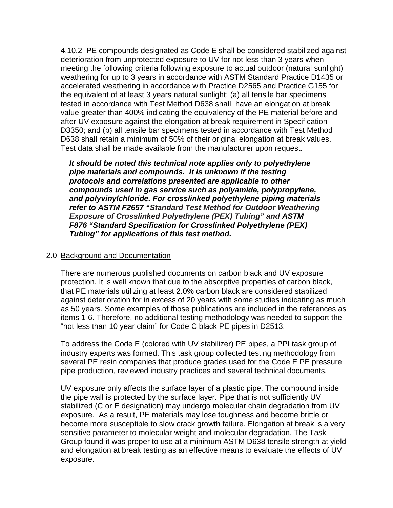4.10.2 PE compounds designated as Code E shall be considered stabilized against deterioration from unprotected exposure to UV for not less than 3 years when meeting the following criteria following exposure to actual outdoor (natural sunlight) weathering for up to 3 years in accordance with ASTM Standard Practice D1435 or accelerated weathering in accordance with Practice D2565 and Practice G155 for the equivalent of at least 3 years natural sunlight: (a) all tensile bar specimens tested in accordance with Test Method D638 shall have an elongation at break value greater than 400% indicating the equivalency of the PE material before and after UV exposure against the elongation at break requirement in Specification D3350; and (b) all tensile bar specimens tested in accordance with Test Method D638 shall retain a minimum of 50% of their original elongation at break values. Test data shall be made available from the manufacturer upon request.

*It should be noted this technical note applies only to polyethylene pipe materials and compounds. It is unknown if the testing protocols and correlations presented are applicable to other compounds used in gas service such as polyamide, polypropylene, and polyvinylchloride. For crosslinked polyethylene piping materials refer to ASTM F2657 "Standard Test Method for Outdoor Weathering Exposure of Crosslinked Polyethylene (PEX) Tubing" and ASTM F876 "Standard Specification for Crosslinked Polyethylene (PEX) Tubing" for applications of this test method.*

#### 2.0 Background and Documentation

There are numerous published documents on carbon black and UV exposure protection. It is well known that due to the absorptive properties of carbon black, that PE materials utilizing at least 2.0% carbon black are considered stabilized against deterioration for in excess of 20 years with some studies indicating as much as 50 years. Some examples of those publications are included in the references as items 1-6. Therefore, no additional testing methodology was needed to support the "not less than 10 year claim" for Code C black PE pipes in D2513.

To address the Code E (colored with UV stabilizer) PE pipes, a PPI task group of industry experts was formed. This task group collected testing methodology from several PE resin companies that produce grades used for the Code E PE pressure pipe production, reviewed industry practices and several technical documents.

UV exposure only affects the surface layer of a plastic pipe. The compound inside the pipe wall is protected by the surface layer. Pipe that is not sufficiently UV stabilized (C or E designation) may undergo molecular chain degradation from UV exposure. As a result, PE materials may lose toughness and become brittle or become more susceptible to slow crack growth failure. Elongation at break is a very sensitive parameter to molecular weight and molecular degradation. The Task Group found it was proper to use at a minimum ASTM D638 tensile strength at yield and elongation at break testing as an effective means to evaluate the effects of UV exposure.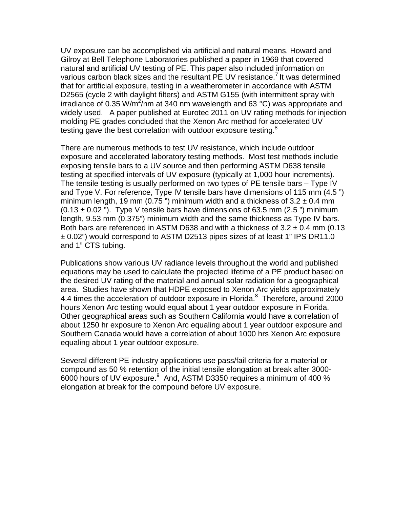UV exposure can be accomplished via artificial and natural means. Howard and Gilroy at Bell Telephone Laboratories published a paper in 1969 that covered natural and artificial UV testing of PE. This paper also included information on various carbon black sizes and the resultant PE UV resistance. It was determined that for artificial exposure, testing in a weatherometer in accordance with ASTM D2565 (cycle 2 with daylight filters) and ASTM G155 (with intermittent spray with irradiance of 0.35 W/m<sup>2</sup>/nm at 340 nm wavelength and 63 °C) was appropriate and widely used. A paper published at Eurotec 2011 on UV rating methods for injection molding PE grades concluded that the Xenon Arc method for accelerated UV testing gave the best correlation with outdoor exposure testing.<sup>8</sup>

There are numerous methods to test UV resistance, which include outdoor exposure and accelerated laboratory testing methods. Most test methods include exposing tensile bars to a UV source and then performing ASTM D638 tensile testing at specified intervals of UV exposure (typically at 1,000 hour increments). The tensile testing is usually performed on two types of PE tensile bars – Type IV and Type V. For reference, Type IV tensile bars have dimensions of 115 mm (4.5 ") minimum length, 19 mm (0.75 ") minimum width and a thickness of  $3.2 \pm 0.4$  mm  $(0.13 \pm 0.02$  "). Type V tensile bars have dimensions of 63.5 mm (2.5 ") minimum length, 9.53 mm (0.375") minimum width and the same thickness as Type IV bars. Both bars are referenced in ASTM D638 and with a thickness of  $3.2 \pm 0.4$  mm (0.13 ± 0.02") would correspond to ASTM D2513 pipes sizes of at least 1" IPS DR11.0 and 1" CTS tubing.

Publications show various UV radiance levels throughout the world and published equations may be used to calculate the projected lifetime of a PE product based on the desired UV rating of the material and annual solar radiation for a geographical area. Studies have shown that HDPE exposed to Xenon Arc yields approximately 4.4 times the acceleration of outdoor exposure in Florida.<sup>8</sup> Therefore, around 2000 hours Xenon Arc testing would equal about 1 year outdoor exposure in Florida. Other geographical areas such as Southern California would have a correlation of about 1250 hr exposure to Xenon Arc equaling about 1 year outdoor exposure and Southern Canada would have a correlation of about 1000 hrs Xenon Arc exposure equaling about 1 year outdoor exposure.

Several different PE industry applications use pass/fail criteria for a material or compound as 50 % retention of the initial tensile elongation at break after 3000- 6000 hours of UV exposure. $^9$  And, ASTM D3350 requires a minimum of 400 % elongation at break for the compound before UV exposure.